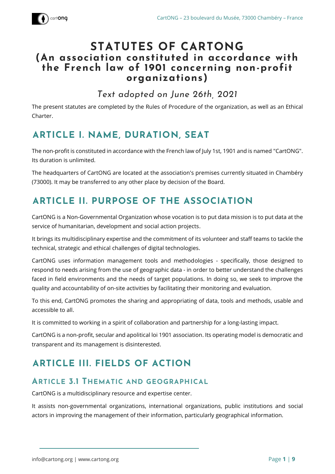

## **STATUTES OF CARTONG (An association constituted in accordance with the French law of 1901 concerning non-profit organizations)**

*Text adopted on June 26th, 2021* 

The present statutes are completed by the Rules of Procedure of the organization, as well as an Ethical Charter.

## **ARTICLE I. NAME, DURATION, SEAT**

The non-profit is constituted in accordance with the French law of July 1st, 1901 and is named "CartONG". Its duration is unlimited.

The headquarters of CartONG are located at the association's premises currently situated in Chambéry (73000). It may be transferred to any other place by decision of the Board.

# <span id="page-0-0"></span>**ARTICLE II. PURPOSE OF THE ASSOCIATION**

CartONG is a Non-Governmental Organization whose vocation is to put data mission is to put data at the service of humanitarian, development and social action projects.

It brings its multidisciplinary expertise and the commitment of its volunteer and staff teams to tackle the technical, strategic and ethical challenges of digital technologies.

CartONG uses information management tools and methodologies - specifically, those designed to respond to needs arising from the use of geographic data - in order to better understand the challenges faced in field environments and the needs of target populations. In doing so, we seek to improve the quality and accountability of on-site activities by facilitating their monitoring and evaluation.

To this end, CartONG promotes the sharing and appropriating of data, tools and methods, usable and accessible to all.

It is committed to working in a spirit of collaboration and partnership for a long-lasting impact.

CartONG is a non-profit, secular and apolitical loi 1901 association. Its operating model is democratic and transparent and its management is disinterested.

# <span id="page-0-1"></span>**ARTICLE III. FIELDS OF ACTION**

#### **ARTICLE 3.1 THEMATIC AND GEOGRAPHICAL**

CartONG is a multidisciplinary resource and expertise center.

It assists non-governmental organizations, international organizations, public institutions and social actors in improving the management of their information, particularly geographical information.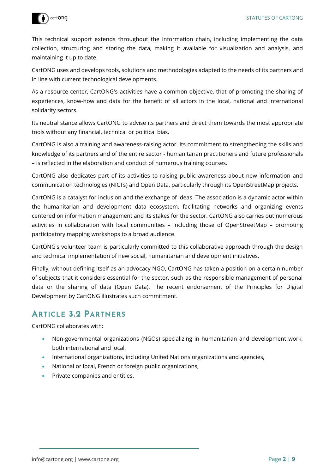

This technical support extends throughout the information chain, including implementing the data collection, structuring and storing the data, making it available for visualization and analysis, and maintaining it up to date.

CartONG uses and develops tools, solutions and methodologies adapted to the needs of its partners and in line with current technological developments.

As a resource center, CartONG's activities have a common objective, that of promoting the sharing of experiences, know-how and data for the benefit of all actors in the local, national and international solidarity sectors.

Its neutral stance allows CartONG to advise its partners and direct them towards the most appropriate tools without any financial, technical or political bias.

CartONG is also a training and awareness-raising actor. Its commitment to strengthening the skills and knowledge of its partners and of the entire sector - humanitarian practitioners and future professionals – is reflected in the elaboration and conduct of numerous training courses.

CartONG also dedicates part of its activities to raising public awareness about new information and communication technologies (NICTs) and Open Data, particularly through its OpenStreetMap projects.

CartONG is a catalyst for inclusion and the exchange of ideas. The association is a dynamic actor within the humanitarian and development data ecosystem, facilitating networks and organizing events centered on information management and its stakes for the sector. CartONG also carries out numerous activities in collaboration with local communities – including those of OpenStreetMap – promoting participatory mapping workshops to a broad audience.

CartONG's volunteer team is particularly committed to this collaborative approach through the design and technical implementation of new social, humanitarian and development initiatives.

Finally, without defining itself as an advocacy NGO, CartONG has taken a position on a certain number of subjects that it considers essential for the sector, such as the responsible management of personal data or the sharing of data (Open Data). The recent endorsement of the Principles for Digital Development by CartONG illustrates such commitment.

### **ARTICLE 3.2 PARTNERS**

CartONG collaborates with:

- Non-governmental organizations (NGOs) specializing in humanitarian and development work, both international and local,
- International organizations, including United Nations organizations and agencies,
- National or local, French or foreign public organizations,
- Private companies and entities.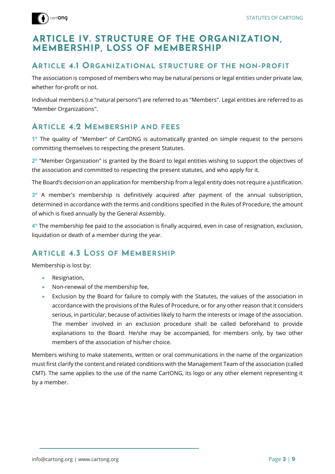

### **ARTICLE IV. STRUCTURE OF THE ORGANIZATION, MEMBERSHIP, LOSS OF MEMBERSHIP**

#### **ARTICLE 4.1 ORGANIZATIONAL STRUCTURE OF THE NON-PROFIT**

The association is composed of members who may be natural persons or legal entities under private law, whether for-profit or not.

Individual members (i.e "natural persons") are referred to as "Members". Legal entities are referred to as "Member Organizations".

### **ARTICLE 4.2 MEMBERSHIP AND FEES**

**1°** The quality of "Member" of CartONG is automatically granted on simple request to the persons committing themselves to respecting the present Statutes.

**2°** "Member Organization" is granted by the Board to legal entities wishing to support the objectives of the association and committed to respecting the present statutes, and who apply for it.

The Board's decision on an application for membership from a legal entity does not require a justification.

**3°** A member's membership is definitively acquired after payment of the annual subscription, determined in accordance with the terms and conditions specified in the Rules of Procedure, the amount of which is fixed annually by the General Assembly.

**4°** The membership fee paid to the association is finally acquired, even in case of resignation, exclusion, liquidation or death of a member during the year.

### **ARTICLE 4.3 LOSS OF MEMBERSHIP**

Membership is lost by:

- Resignation,
- Non-renewal of the membership fee,
- Exclusion by the Board for failure to comply with the Statutes, the values of the association in accordance with the provisions of the Rules of Procedure, or for any other reason that it considers serious, in particular, because of activities likely to harm the interests or image of the association. The member involved in an exclusion procedure shall be called beforehand to provide explanations to the Board. He/she may be accompanied, for members only, by two other members of the association of his/her choice.

Members wishing to make statements, written or oral communications in the name of the organization must first clarify the content and related conditions with the Management Team of the association (called CMT). The same applies to the use of the name CartONG, its logo or any other element representing it by a member.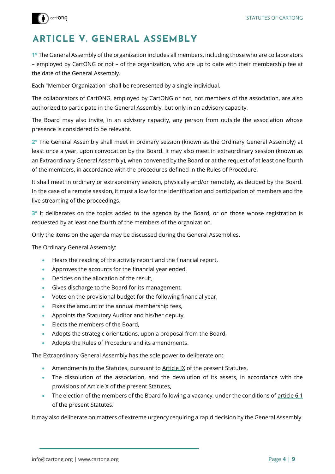

# <span id="page-3-0"></span>**ARTICLE V. GENERAL ASSEMBLY**

**1°** The General Assembly of the organization includes all members, including those who are collaborators – employed by CartONG or not – of the organization, who are up to date with their membership fee at the date of the General Assembly.

Each "Member Organization" shall be represented by a single individual.

The collaborators of CartONG, employed by CartONG or not, not members of the association, are also authorized to participate in the General Assembly, but only in an advisory capacity.

The Board may also invite, in an advisory capacity, any person from outside the association whose presence is considered to be relevant.

**2°** The General Assembly shall meet in ordinary session (known as the Ordinary General Assembly) at least once a year, upon convocation by the Board. It may also meet in extraordinary session (known as an Extraordinary General Assembly), when convened by the Board or at the request of at least one fourth of the members, in accordance with the procedures defined in the Rules of Procedure.

It shall meet in ordinary or extraordinary session, physically and/or remotely, as decided by the Board. In the case of a remote session, it must allow for the identification and participation of members and the live streaming of the proceedings.

**3°** It deliberates on the topics added to the agenda by the Board, or on those whose registration is requested by at least one fourth of the members of the organization.

Only the items on the agenda may be discussed during the General Assemblies.

The Ordinary General Assembly:

- Hears the reading of the activity report and the financial report,
- Approves the accounts for the financial year ended,
- **Decides on the allocation of the result,**
- Gives discharge to the Board for its management,
- Votes on the provisional budget for the following financial year,
- Fixes the amount of the annual membership fees,
- Appoints the Statutory Auditor and his/her deputy,
- **Elects the members of the Board,**
- Adopts the strategic orientations, upon a proposal from the Board,
- Adopts the Rules of Procedure and its amendments.

The Extraordinary General Assembly has the sole power to deliberate on:

- Amendments to the Statutes, pursuant to [Article IX](#page-7-0) of the present Statutes,
- The dissolution of the association, and the devolution of its assets, in accordance with the provisions of [Article X](#page-7-1) of the present Statutes,
- $\bullet$  The election of the members of the Board following a vacancy, under the conditions of [article 6.1](#page-4-0) of the present Statutes.

It may also deliberate on matters of extreme urgency requiring a rapid decision by the General Assembly.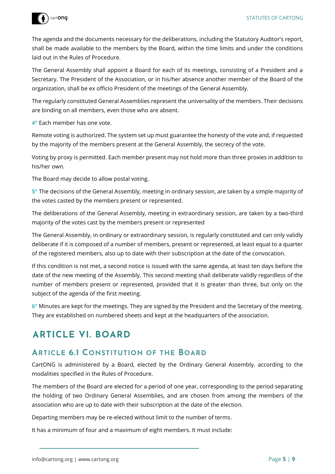

The agenda and the documents necessary for the deliberations, including the Statutory Auditor's report, shall be made available to the members by the Board, within the time limits and under the conditions laid out in the Rules of Procedure.

The General Assembly shall appoint a Board for each of its meetings, consisting of a President and a Secretary. The President of the Association, or in his/her absence another member of the Board of the organization, shall be ex officio President of the meetings of the General Assembly.

The regularly constituted General Assemblies represent the universality of the members. Their decisions are binding on all members, even those who are absent.

**4°** Each member has one vote.

Remote voting is authorized. The system set up must guarantee the honesty of the vote and, if requested by the majority of the members present at the General Assembly, the secrecy of the vote.

Voting by proxy is permitted. Each member present may not hold more than three proxies in addition to his/her own.

The Board may decide to allow postal voting.

**5°** The decisions of the General Assembly, meeting in ordinary session, are taken by a simple majority of the votes casted by the members present or represented.

The deliberations of the General Assembly, meeting in extraordinary session, are taken by a two-third majority of the votes cast by the members present or represented

The General Assembly, in ordinary or extraordinary session, is regularly constituted and can only validly deliberate if it is composed of a number of members, present or represented, at least equal to a quarter of the registered members, also up to date with their subscription at the date of the convocation.

If this condition is not met, a second notice is issued with the same agenda, at least ten days before the date of the new meeting of the Assembly. This second meeting shall deliberate validly regardless of the number of members present or represented, provided that it is greater than three, but only on the subject of the agenda of the first meeting.

**6°** Minutes are kept for the meetings. They are signed by the President and the Secretary of the meeting. They are established on numbered sheets and kept at the headquarters of the association.

## **ARTICLE VI. BOARD**

#### <span id="page-4-0"></span>**ARTICLE 6.1 CONSTITUTION OF THE BOARD**

CartONG is administered by a Board, elected by the Ordinary General Assembly, according to the modalities specified in the Rules of Procedure.

The members of the Board are elected for a period of one year, corresponding to the period separating the holding of two Ordinary General Assemblies, and are chosen from among the members of the association who are up to date with their subscription at the date of the election.

Departing members may be re-elected without limit to the number of terms.

It has a minimum of four and a maximum of eight members. It must include: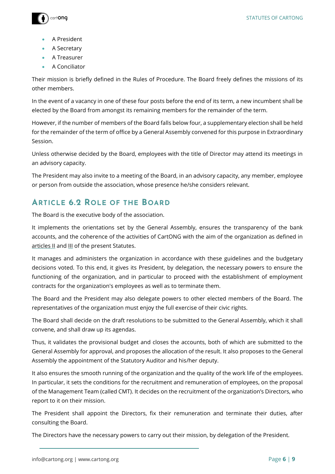



- A President
- A Secretary
- A Treasurer
- A Conciliator

Their mission is briefly defined in the Rules of Procedure. The Board freely defines the missions of its other members.

In the event of a vacancy in one of these four posts before the end of its term, a new incumbent shall be elected by the Board from amongst its remaining members for the remainder of the term.

However, if the number of members of the Board falls below four, a supplementary election shall be held for the remainder of the term of office by a General Assembly convened for this purpose in Extraordinary Session.

Unless otherwise decided by the Board, employees with the title of Director may attend its meetings in an advisory capacity.

The President may also invite to a meeting of the Board, in an advisory capacity, any member, employee or person from outside the association, whose presence he/she considers relevant.

### **ARTICLE 6.2 ROLE OF THE BOARD**

The Board is the executive body of the association.

It implements the orientations set by the General Assembly, ensures the transparency of the bank accounts, and the coherence of the activities of CartONG with the aim of the organization as defined in [articles II](#page-0-0) and [III](#page-0-1) of the present Statutes.

It manages and administers the organization in accordance with these guidelines and the budgetary decisions voted. To this end, it gives its President, by delegation, the necessary powers to ensure the functioning of the organization, and in particular to proceed with the establishment of employment contracts for the organization's employees as well as to terminate them.

The Board and the President may also delegate powers to other elected members of the Board. The representatives of the organization must enjoy the full exercise of their civic rights.

The Board shall decide on the draft resolutions to be submitted to the General Assembly, which it shall convene, and shall draw up its agendas.

Thus, it validates the provisional budget and closes the accounts, both of which are submitted to the General Assembly for approval, and proposes the allocation of the result. It also proposes to the General Assembly the appointment of the Statutory Auditor and his/her deputy.

It also ensures the smooth running of the organization and the quality of the work life of the employees. In particular, it sets the conditions for the recruitment and remuneration of employees, on the proposal of the Management Team (called CMT). It decides on the recruitment of the organization's Directors, who report to it on their mission.

The President shall appoint the Directors, fix their remuneration and terminate their duties, after consulting the Board.

The Directors have the necessary powers to carry out their mission, by delegation of the President.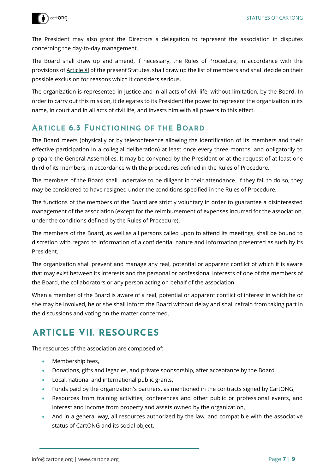

The President may also grant the Directors a delegation to represent the association in disputes concerning the day-to-day management.

The Board shall draw up and amend, if necessary, the Rules of Procedure, in accordance with the provisions o[f Article](#page-8-0) XI of the present Statutes, shall draw up the list of members and shall decide on their possible exclusion for reasons which it considers serious.

The organization is represented in justice and in all acts of civil life, without limitation, by the Board. In order to carry out this mission, it delegates to its President the power to represent the organization in its name, in court and in all acts of civil life, and invests him with all powers to this effect.

#### **ARTICLE 6.3 FUNCTIONING OF THE BOARD**

The Board meets (physically or by teleconference allowing the identification of its members and their effective participation in a collegial deliberation) at least once every three months, and obligatorily to prepare the General Assemblies. It may be convened by the President or at the request of at least one third of its members, in accordance with the procedures defined in the Rules of Procedure.

The members of the Board shall undertake to be diligent in their attendance. If they fail to do so, they may be considered to have resigned under the conditions specified in the Rules of Procedure.

The functions of the members of the Board are strictly voluntary in order to guarantee a disinterested management of the association (except for the reimbursement of expenses incurred for the association, under the conditions defined by the Rules of Procedure).

The members of the Board, as well as all persons called upon to attend its meetings, shall be bound to discretion with regard to information of a confidential nature and information presented as such by its President.

The organization shall prevent and manage any real, potential or apparent conflict of which it is aware that may exist between its interests and the personal or professional interests of one of the members of the Board, the collaborators or any person acting on behalf of the association.

When a member of the Board is aware of a real, potential or apparent conflict of interest in which he or she may be involved, he or she shall inform the Board without delay and shall refrain from taking part in the discussions and voting on the matter concerned.

# **ARTICLE VII. RESOURCES**

The resources of the association are composed of:

- Membership fees,
- **Donations, gifts and legacies, and private sponsorship, after acceptance by the Board,**
- Local, national and international public grants,
- Funds paid by the organization's partners, as mentioned in the contracts signed by CartONG,
- Resources from training activities, conferences and other public or professional events, and interest and income from property and assets owned by the organization,
- And in a general way, all resources authorized by the law, and compatible with the associative status of CartONG and its social object.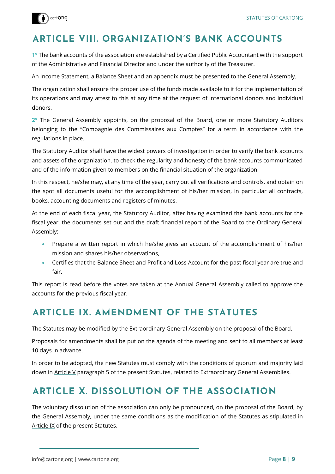

## **ARTICLE VIII. ORGANIZATION'S BANK ACCOUNTS**

**1°** The bank accounts of the association are established by a Certified Public Accountant with the support of the Administrative and Financial Director and under the authority of the Treasurer.

An Income Statement, a Balance Sheet and an appendix must be presented to the General Assembly.

The organization shall ensure the proper use of the funds made available to it for the implementation of its operations and may attest to this at any time at the request of international donors and individual donors.

**2°** The General Assembly appoints, on the proposal of the Board, one or more Statutory Auditors belonging to the "Compagnie des Commissaires aux Comptes" for a term in accordance with the regulations in place.

The Statutory Auditor shall have the widest powers of investigation in order to verify the bank accounts and assets of the organization, to check the regularity and honesty of the bank accounts communicated and of the information given to members on the financial situation of the organization.

In this respect, he/she may, at any time of the year, carry out all verifications and controls, and obtain on the spot all documents useful for the accomplishment of his/her mission, in particular all contracts, books, accounting documents and registers of minutes.

At the end of each fiscal year, the Statutory Auditor, after having examined the bank accounts for the fiscal year, the documents set out and the draft financial report of the Board to the Ordinary General Assembly:

- Prepare a written report in which he/she gives an account of the accomplishment of his/her mission and shares his/her observations,
- Certifies that the Balance Sheet and Profit and Loss Account for the past fiscal year are true and fair.

This report is read before the votes are taken at the Annual General Assembly called to approve the accounts for the previous fiscal year.

## <span id="page-7-0"></span>**ARTICLE IX. AMENDMENT OF THE STATUTES**

The Statutes may be modified by the Extraordinary General Assembly on the proposal of the Board.

Proposals for amendments shall be put on the agenda of the meeting and sent to all members at least 10 days in advance.

In order to be adopted, the new Statutes must comply with the conditions of quorum and majority laid down in [Article V](#page-3-0) paragraph 5 of the present Statutes, related to Extraordinary General Assemblies.

## <span id="page-7-1"></span>**ARTICLE X. DISSOLUTION OF THE ASSOCIATION**

The voluntary dissolution of the association can only be pronounced, on the proposal of the Board, by the General Assembly, under the same conditions as the modification of the Statutes as stipulated in [Article IX](#page-7-0) of the present Statutes.